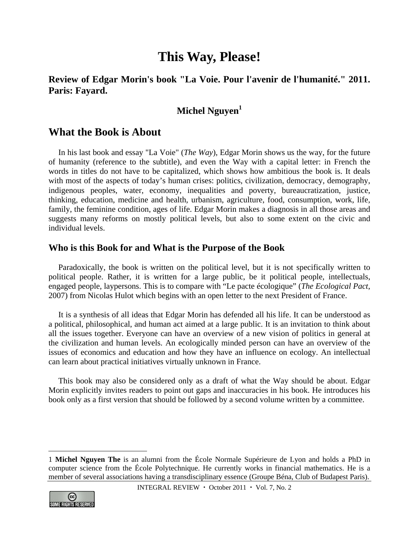# **This Way, Please!**

# **Review of Edgar Morin's book "La Voie. Pour l'avenir de l'humanité." 2011. Paris: Fayard.**

# **Michel Nguyen**<sup>1</sup>

### **What the Book is About**

In his last book and essay "La Voie" (*The Way*), Edgar Morin shows us the way, for the future of humanity (reference to the subtitle), and even the Way with a capital letter: in French the words in titles do not have to be capitalized, which shows how ambitious the book is. It deals with most of the aspects of today's human crises: politics, civilization, democracy, demography, indigenous peoples, water, economy, inequalities and poverty, bureaucratization, justice, thinking, education, medicine and health, urbanism, agriculture, food, consumption, work, life, family, the feminine condition, ages of life. Edgar Morin makes a diagnosis in all those areas and suggests many reforms on mostly political levels, but also to some extent on the civic and individual levels.

#### **Who is this Book for and What is the Purpose of the Book**

Paradoxically, the book is written on the political level, but it is not specifically written to political people. Rather, it is written for a large public, be it political people, intellectuals, engaged people, laypersons. This is to compare with "Le pacte écologique" (*The Ecological Pact*, 2007) from Nicolas Hulot which begins with an open letter to the next President of France.

It is a synthesis of all ideas that Edgar Morin has defended all his life. It can be understood as a political, philosophical, and human act aimed at a large public. It is an invitation to think about all the issues together. Everyone can have an overview of a new vision of politics in general at the civilization and human levels. An ecologically minded person can have an overview of the issues of economics and education and how they have an influence on ecology. An intellectual can learn about practical initiatives virtually unknown in France.

This book may also be considered only as a draft of what the Way should be about. Edgar Morin explicitly invites readers to point out gaps and inaccuracies in his book. He introduces his book only as a first version that should be followed by a second volume written by a committee.

<sup>1</sup> **Michel Nguyen The** is an alumni from the École Normale Supérieure de Lyon and holds a PhD in computer science from the École Polytechnique. He currently works in financial mathematics. He is a member of several associations having a transdisciplinary essence (Groupe Béna, Club of Budapest Paris).



 $\overline{a}$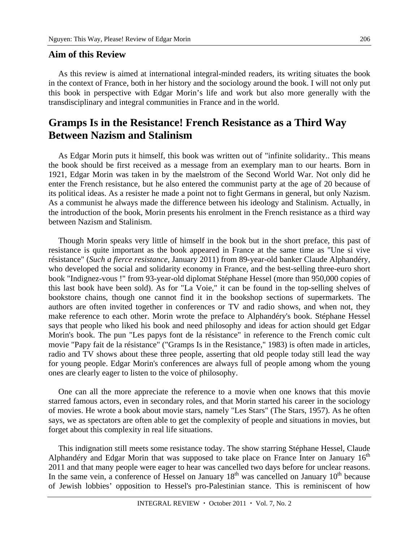#### **Aim of this Review**

As this review is aimed at international integral-minded readers, its writing situates the book in the context of France, both in her history and the sociology around the book. I will not only put this book in perspective with Edgar Morin's life and work but also more generally with the transdisciplinary and integral communities in France and in the world.

# **Gramps Is in the Resistance! French Resistance as a Third Way Between Nazism and Stalinism**

As Edgar Morin puts it himself, this book was written out of "infinite solidarity.. This means the book should be first received as a message from an exemplary man to our hearts. Born in 1921, Edgar Morin was taken in by the maelstrom of the Second World War. Not only did he enter the French resistance, but he also entered the communist party at the age of 20 because of its political ideas. As a resister he made a point not to fight Germans in general, but only Nazism. As a communist he always made the difference between his ideology and Stalinism. Actually, in the introduction of the book, Morin presents his enrolment in the French resistance as a third way between Nazism and Stalinism.

Though Morin speaks very little of himself in the book but in the short preface, this past of resistance is quite important as the book appeared in France at the same time as "Une si vive résistance" (*Such a fierce resistance,* January 2011) from 89-year-old banker Claude Alphandéry, who developed the social and solidarity economy in France, and the best-selling three-euro short book "Indignez-vous !" from 93-year-old diplomat Stéphane Hessel (more than 950,000 copies of this last book have been sold). As for "La Voie," it can be found in the top-selling shelves of bookstore chains, though one cannot find it in the bookshop sections of supermarkets. The authors are often invited together in conferences or TV and radio shows, and when not, they make reference to each other. Morin wrote the preface to Alphandéry's book. Stéphane Hessel says that people who liked his book and need philosophy and ideas for action should get Edgar Morin's book. The pun "Les papys font de la résistance" in reference to the French comic cult movie "Papy fait de la résistance" ("Gramps Is in the Resistance," 1983) is often made in articles, radio and TV shows about these three people, asserting that old people today still lead the way for young people. Edgar Morin's conferences are always full of people among whom the young ones are clearly eager to listen to the voice of philosophy.

One can all the more appreciate the reference to a movie when one knows that this movie starred famous actors, even in secondary roles, and that Morin started his career in the sociology of movies. He wrote a book about movie stars, namely "Les Stars" (The Stars, 1957). As he often says, we as spectators are often able to get the complexity of people and situations in movies, but forget about this complexity in real life situations.

This indignation still meets some resistance today. The show starring Stéphane Hessel, Claude Alphandéry and Edgar Morin that was supposed to take place on France Inter on January  $16<sup>th</sup>$ 2011 and that many people were eager to hear was cancelled two days before for unclear reasons. In the same vein, a conference of Hessel on January  $18<sup>th</sup>$  was cancelled on January  $10<sup>th</sup>$  because of Jewish lobbies' opposition to Hessel's pro-Palestinian stance. This is reminiscent of how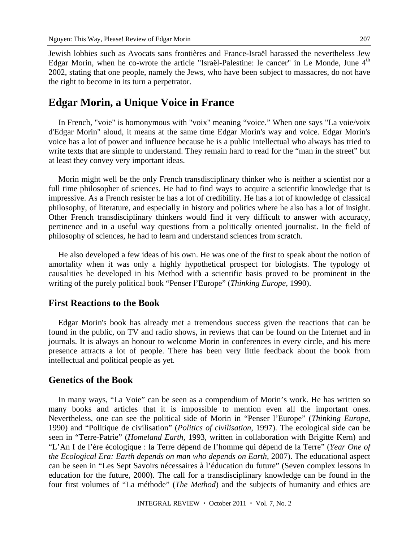Jewish lobbies such as Avocats sans frontières and France-Israël harassed the nevertheless Jew Edgar Morin, when he co-wrote the article "Israël-Palestine: le cancer" in Le Monde, June 4<sup>th</sup> 2002, stating that one people, namely the Jews, who have been subject to massacres, do not have the right to become in its turn a perpetrator.

### **Edgar Morin, a Unique Voice in France**

In French, "voie" is homonymous with "voix" meaning "voice." When one says "La voie/voix d'Edgar Morin" aloud, it means at the same time Edgar Morin's way and voice. Edgar Morin's voice has a lot of power and influence because he is a public intellectual who always has tried to write texts that are simple to understand. They remain hard to read for the "man in the street" but at least they convey very important ideas.

Morin might well be the only French transdisciplinary thinker who is neither a scientist nor a full time philosopher of sciences. He had to find ways to acquire a scientific knowledge that is impressive. As a French resister he has a lot of credibility. He has a lot of knowledge of classical philosophy, of literature, and especially in history and politics where he also has a lot of insight. Other French transdisciplinary thinkers would find it very difficult to answer with accuracy, pertinence and in a useful way questions from a politically oriented journalist. In the field of philosophy of sciences, he had to learn and understand sciences from scratch.

He also developed a few ideas of his own. He was one of the first to speak about the notion of amortality when it was only a highly hypothetical prospect for biologists. The typology of causalities he developed in his Method with a scientific basis proved to be prominent in the writing of the purely political book "Penser l'Europe" (*Thinking Europe*, 1990).

#### **First Reactions to the Book**

Edgar Morin's book has already met a tremendous success given the reactions that can be found in the public, on TV and radio shows, in reviews that can be found on the Internet and in journals. It is always an honour to welcome Morin in conferences in every circle, and his mere presence attracts a lot of people. There has been very little feedback about the book from intellectual and political people as yet.

#### **Genetics of the Book**

In many ways, "La Voie" can be seen as a compendium of Morin's work. He has written so many books and articles that it is impossible to mention even all the important ones. Nevertheless, one can see the political side of Morin in "Penser l'Europe" (*Thinking Europe*, 1990) and "Politique de civilisation" (*Politics of civilisation*, 1997). The ecological side can be seen in "Terre-Patrie" (*Homeland Earth*, 1993, written in collaboration with Brigitte Kern) and "L'An I de l'ère écologique : la Terre dépend de l'homme qui dépend de la Terre" (*Year One of the Ecological Era: Earth depends on man who depends on Earth*, 2007). The educational aspect can be seen in "Les Sept Savoirs nécessaires à l'éducation du future" (Seven complex lessons in education for the future, 2000). The call for a transdisciplinary knowledge can be found in the four first volumes of "La méthode" (*The Method*) and the subjects of humanity and ethics are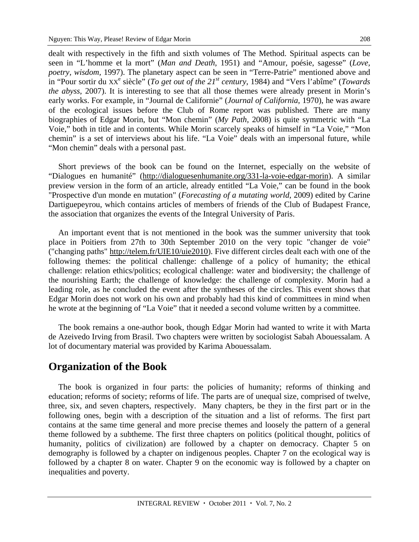dealt with respectively in the fifth and sixth volumes of The Method. Spiritual aspects can be seen in "L'homme et la mort" (*Man and Death*, 1951) and "Amour, poésie, sagesse" (*Love, poetry, wisdom,* 1997). The planetary aspect can be seen in "Terre-Patrie" mentioned above and in "Pour sortir du  $XX^e$  siècle" (*To get out of the 21<sup>st</sup> century*, 1984) and "Vers l'abîme" (*Towards the abyss*, 2007). It is interesting to see that all those themes were already present in Morin's early works. For example, in "Journal de Californie" (*Journal of California*, 1970), he was aware of the ecological issues before the Club of Rome report was published. There are many biographies of Edgar Morin, but "Mon chemin" (*My Path*, 2008) is quite symmetric with "La Voie," both in title and in contents. While Morin scarcely speaks of himself in "La Voie," "Mon chemin" is a set of interviews about his life. "La Voie" deals with an impersonal future, while "Mon chemin" deals with a personal past.

Short previews of the book can be found on the Internet, especially on the website of "Dialogues en humanité" (http://dialoguesenhumanite.org/331-la-voie-edgar-morin). A similar preview version in the form of an article, already entitled "La Voie," can be found in the book "Prospective d'un monde en mutation" (*Forecasting of a mutating world*, 2009) edited by Carine Dartiguepeyrou, which contains articles of members of friends of the Club of Budapest France, the association that organizes the events of the Integral University of Paris.

An important event that is not mentioned in the book was the summer university that took place in Poitiers from 27th to 30th September 2010 on the very topic "changer de voie" ("changing paths" http://telem.fr/UIE10/uie2010). Five different circles dealt each with one of the following themes: the political challenge: challenge of a policy of humanity; the ethical challenge: relation ethics/politics; ecological challenge: water and biodiversity; the challenge of the nourishing Earth; the challenge of knowledge: the challenge of complexity. Morin had a leading role, as he concluded the event after the syntheses of the circles. This event shows that Edgar Morin does not work on his own and probably had this kind of committees in mind when he wrote at the beginning of "La Voie" that it needed a second volume written by a committee.

The book remains a one-author book, though Edgar Morin had wanted to write it with Marta de Azeivedo Irving from Brasil. Two chapters were written by sociologist Sabah Abouessalam. A lot of documentary material was provided by Karima Abouessalam.

### **Organization of the Book**

The book is organized in four parts: the policies of humanity; reforms of thinking and education; reforms of society; reforms of life. The parts are of unequal size, comprised of twelve, three, six, and seven chapters, respectively. Many chapters, be they in the first part or in the following ones, begin with a description of the situation and a list of reforms. The first part contains at the same time general and more precise themes and loosely the pattern of a general theme followed by a subtheme. The first three chapters on politics (political thought, politics of humanity, politics of civilization) are followed by a chapter on democracy. Chapter 5 on demography is followed by a chapter on indigenous peoples. Chapter 7 on the ecological way is followed by a chapter 8 on water. Chapter 9 on the economic way is followed by a chapter on inequalities and poverty.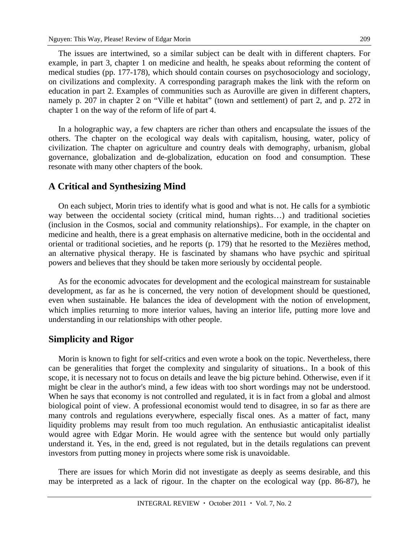The issues are intertwined, so a similar subject can be dealt with in different chapters. For example, in part 3, chapter 1 on medicine and health, he speaks about reforming the content of medical studies (pp. 177-178), which should contain courses on psychosociology and sociology, on civilizations and complexity. A corresponding paragraph makes the link with the reform on education in part 2. Examples of communities such as Auroville are given in different chapters, namely p. 207 in chapter 2 on "Ville et habitat" (town and settlement) of part 2, and p. 272 in chapter 1 on the way of the reform of life of part 4.

In a holographic way, a few chapters are richer than others and encapsulate the issues of the others. The chapter on the ecological way deals with capitalism, housing, water, policy of civilization. The chapter on agriculture and country deals with demography, urbanism, global governance, globalization and de-globalization, education on food and consumption. These resonate with many other chapters of the book.

#### **A Critical and Synthesizing Mind**

On each subject, Morin tries to identify what is good and what is not. He calls for a symbiotic way between the occidental society (critical mind, human rights…) and traditional societies (inclusion in the Cosmos, social and community relationships).. For example, in the chapter on medicine and health, there is a great emphasis on alternative medicine, both in the occidental and oriental or traditional societies, and he reports (p. 179) that he resorted to the Mezières method, an alternative physical therapy. He is fascinated by shamans who have psychic and spiritual powers and believes that they should be taken more seriously by occidental people.

As for the economic advocates for development and the ecological mainstream for sustainable development, as far as he is concerned, the very notion of development should be questioned, even when sustainable. He balances the idea of development with the notion of envelopment, which implies returning to more interior values, having an interior life, putting more love and understanding in our relationships with other people.

#### **Simplicity and Rigor**

Morin is known to fight for self-critics and even wrote a book on the topic. Nevertheless, there can be generalities that forget the complexity and singularity of situations.. In a book of this scope, it is necessary not to focus on details and leave the big picture behind. Otherwise, even if it might be clear in the author's mind, a few ideas with too short wordings may not be understood. When he says that economy is not controlled and regulated, it is in fact from a global and almost biological point of view. A professional economist would tend to disagree, in so far as there are many controls and regulations everywhere, especially fiscal ones. As a matter of fact, many liquidity problems may result from too much regulation. An enthusiastic anticapitalist idealist would agree with Edgar Morin. He would agree with the sentence but would only partially understand it. Yes, in the end, greed is not regulated, but in the details regulations can prevent investors from putting money in projects where some risk is unavoidable.

There are issues for which Morin did not investigate as deeply as seems desirable, and this may be interpreted as a lack of rigour. In the chapter on the ecological way (pp. 86-87), he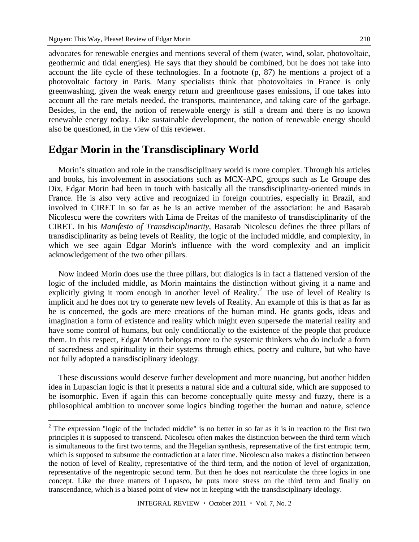$\overline{a}$ 

advocates for renewable energies and mentions several of them (water, wind, solar, photovoltaic, geothermic and tidal energies). He says that they should be combined, but he does not take into account the life cycle of these technologies. In a footnote (p, 87) he mentions a project of a photovoltaic factory in Paris. Many specialists think that photovoltaics in France is only greenwashing, given the weak energy return and greenhouse gases emissions, if one takes into account all the rare metals needed, the transports, maintenance, and taking care of the garbage. Besides, in the end, the notion of renewable energy is still a dream and there is no known renewable energy today. Like sustainable development, the notion of renewable energy should also be questioned, in the view of this reviewer.

### **Edgar Morin in the Transdisciplinary World**

Morin's situation and role in the transdisciplinary world is more complex. Through his articles and books, his involvement in associations such as MCX-APC, groups such as Le Groupe des Dix, Edgar Morin had been in touch with basically all the transdisciplinarity-oriented minds in France. He is also very active and recognized in foreign countries, especially in Brazil, and involved in CIRET in so far as he is an active member of the association: he and Basarab Nicolescu were the cowriters with Lima de Freitas of the manifesto of transdisciplinarity of the CIRET. In his *Manifesto of Transdisciplinarity*, Basarab Nicolescu defines the three pillars of transdisciplinarity as being levels of Reality, the logic of the included middle, and complexity, in which we see again Edgar Morin's influence with the word complexity and an implicit acknowledgement of the two other pillars.

Now indeed Morin does use the three pillars, but dialogics is in fact a flattened version of the logic of the included middle, as Morin maintains the distinction without giving it a name and explicitly giving it room enough in another level of Reality.<sup>2</sup> The use of level of Reality is implicit and he does not try to generate new levels of Reality. An example of this is that as far as he is concerned, the gods are mere creations of the human mind. He grants gods, ideas and imagination a form of existence and reality which might even supersede the material reality and have some control of humans, but only conditionally to the existence of the people that produce them. In this respect, Edgar Morin belongs more to the systemic thinkers who do include a form of sacredness and spirituality in their systems through ethics, poetry and culture, but who have not fully adopted a transdisciplinary ideology.

These discussions would deserve further development and more nuancing, but another hidden idea in Lupascian logic is that it presents a natural side and a cultural side, which are supposed to be isomorphic. Even if again this can become conceptually quite messy and fuzzy, there is a philosophical ambition to uncover some logics binding together the human and nature, science

 $2$  The expression "logic of the included middle" is no better in so far as it is in reaction to the first two principles it is supposed to transcend. Nicolescu often makes the distinction between the third term which is simultaneous to the first two terms, and the Hegelian synthesis, representative of the first entropic term, which is supposed to subsume the contradiction at a later time. Nicolescu also makes a distinction between the notion of level of Reality, representative of the third term, and the notion of level of organization, representative of the negentropic second term. But then he does not rearticulate the three logics in one concept. Like the three matters of Lupasco, he puts more stress on the third term and finally on transcendance, which is a biased point of view not in keeping with the transdisciplinary ideology.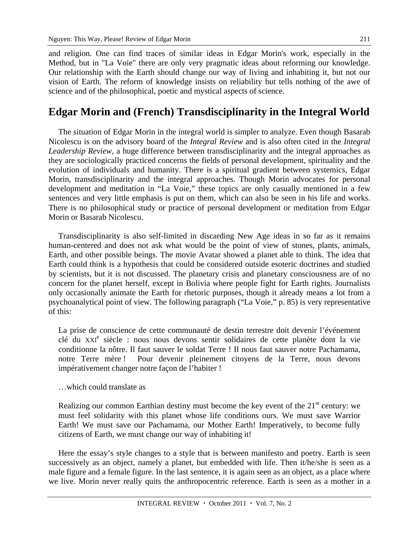and religion. One can find traces of similar ideas in Edgar Morin's work, especially in the Method, but in "La Voie" there are only very pragmatic ideas about reforming our knowledge. Our relationship with the Earth should change our way of living and inhabiting it, but not our vision of Earth. The reform of knowledge insists on reliability but tells nothing of the awe of science and of the philosophical, poetic and mystical aspects of science.

# **Edgar Morin and (French) Transdisciplinarity in the Integral World**

The situation of Edgar Morin in the integral world is simpler to analyze. Even though Basarab Nicolescu is on the advisory board of the *Integral Review* and is also often cited in the *Integral Leadership Review,* a huge difference between transdisciplinarity and the integral approaches as they are sociologically practiced concerns the fields of personal development, spirituality and the evolution of individuals and humanity. There is a spiritual gradient between systemics, Edgar Morin, transdisciplinarity and the integral approaches. Though Morin advocates for personal development and meditation in "La Voie," these topics are only casually mentioned in a few sentences and very little emphasis is put on them, which can also be seen in his life and works. There is no philosophical study or practice of personal development or meditation from Edgar Morin or Basarab Nicolescu.

Transdisciplinarity is also self-limited in discarding New Age ideas in so far as it remains human-centered and does not ask what would be the point of view of stones, plants, animals, Earth, and other possible beings. The movie Avatar showed a planet able to think. The idea that Earth could think is a hypothesis that could be considered outside esoteric doctrines and studied by scientists, but it is not discussed. The planetary crisis and planetary consciousness are of no concern for the planet herself, except in Bolivia where people fight for Earth rights. Journalists only occasionally animate the Earth for rhetoric purposes, though it already means a lot from a psychoanalytical point of view. The following paragraph ("La Voie," p. 85) is very representative of this:

La prise de conscience de cette communauté de destin terrestre doit devenir l'événement clé du XXI<sup>e</sup> siècle : nous nous devons sentir solidaires de cette planète dont la vie conditionne la nôtre. Il faut sauver le soldat Terre ! Il nous faut sauver notre Pachamama, notre Terre mère ! Pour devenir pleinement citoyens de la Terre, nous devons impérativement changer notre façon de l'habiter !

#### …which could translate as

Realizing our common Earthian destiny must become the key event of the  $21<sup>st</sup>$  century: we must feel solidarity with this planet whose life conditions ours. We must save Warrior Earth! We must save our Pachamama, our Mother Earth! Imperatively, to become fully citizens of Earth, we must change our way of inhabiting it!

Here the essay's style changes to a style that is between manifesto and poetry. Earth is seen successively as an object, namely a planet, but embedded with life. Then it/he/she is seen as a male figure and a female figure. In the last sentence, it is again seen as an object, as a place where we live. Morin never really quits the anthropocentric reference. Earth is seen as a mother in a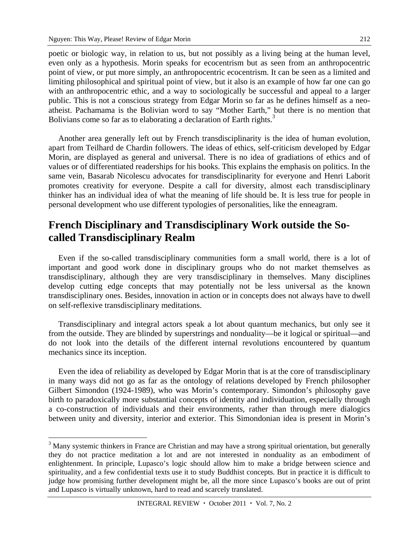$\overline{a}$ 

poetic or biologic way, in relation to us, but not possibly as a living being at the human level, even only as a hypothesis. Morin speaks for ecocentrism but as seen from an anthropocentric point of view, or put more simply, an anthropocentric ecocentrism. It can be seen as a limited and limiting philosophical and spiritual point of view, but it also is an example of how far one can go with an anthropocentric ethic, and a way to sociologically be successful and appeal to a larger public. This is not a conscious strategy from Edgar Morin so far as he defines himself as a neoatheist. Pachamama is the Bolivian word to say "Mother Earth," but there is no mention that Bolivians come so far as to elaborating a declaration of Earth rights.<sup>3</sup>

Another area generally left out by French transdisciplinarity is the idea of human evolution, apart from Teilhard de Chardin followers. The ideas of ethics, self-criticism developed by Edgar Morin, are displayed as general and universal. There is no idea of gradiations of ethics and of values or of differentiated readerships for his books. This explains the emphasis on politics. In the same vein, Basarab Nicolescu advocates for transdisciplinarity for everyone and Henri Laborit promotes creativity for everyone. Despite a call for diversity, almost each transdisciplinary thinker has an individual idea of what the meaning of life should be. It is less true for people in personal development who use different typologies of personalities, like the enneagram.

# **French Disciplinary and Transdisciplinary Work outside the Socalled Transdisciplinary Realm**

Even if the so-called transdisciplinary communities form a small world, there is a lot of important and good work done in disciplinary groups who do not market themselves as transdisciplinary, although they are very transdisciplinary in themselves. Many disciplines develop cutting edge concepts that may potentially not be less universal as the known transdisciplinary ones. Besides, innovation in action or in concepts does not always have to dwell on self-reflexive transdisciplinary meditations.

Transdisciplinary and integral actors speak a lot about quantum mechanics, but only see it from the outside. They are blinded by superstrings and nonduality—be it logical or spiritual—and do not look into the details of the different internal revolutions encountered by quantum mechanics since its inception.

Even the idea of reliability as developed by Edgar Morin that is at the core of transdisciplinary in many ways did not go as far as the ontology of relations developed by French philosopher Gilbert Simondon (1924-1989), who was Morin's contemporary. Simondon's philosophy gave birth to paradoxically more substantial concepts of identity and individuation, especially through a co-construction of individuals and their environments, rather than through mere dialogics between unity and diversity, interior and exterior. This Simondonian idea is present in Morin's

<sup>&</sup>lt;sup>3</sup> Many systemic thinkers in France are Christian and may have a strong spiritual orientation, but generally they do not practice meditation a lot and are not interested in nonduality as an embodiment of enlightenment. In principle, Lupasco's logic should allow him to make a bridge between science and spirituality, and a few confidential texts use it to study Buddhist concepts. But in practice it is difficult to judge how promising further development might be, all the more since Lupasco's books are out of print and Lupasco is virtually unknown, hard to read and scarcely translated.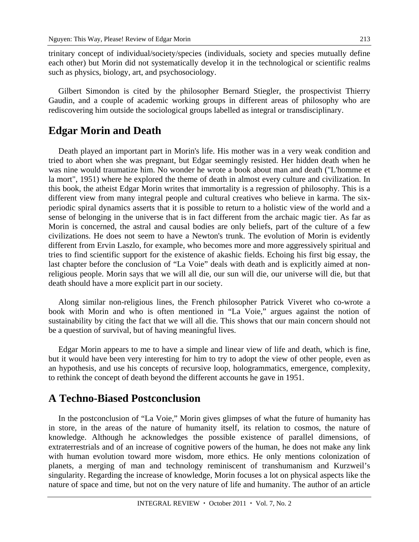trinitary concept of individual/society/species (individuals, society and species mutually define each other) but Morin did not systematically develop it in the technological or scientific realms such as physics, biology, art, and psychosociology.

Gilbert Simondon is cited by the philosopher Bernard Stiegler, the prospectivist Thierry Gaudin, and a couple of academic working groups in different areas of philosophy who are rediscovering him outside the sociological groups labelled as integral or transdisciplinary.

### **Edgar Morin and Death**

Death played an important part in Morin's life. His mother was in a very weak condition and tried to abort when she was pregnant, but Edgar seemingly resisted. Her hidden death when he was nine would traumatize him. No wonder he wrote a book about man and death ("L'homme et la mort", 1951) where he explored the theme of death in almost every culture and civilization. In this book, the atheist Edgar Morin writes that immortality is a regression of philosophy. This is a different view from many integral people and cultural creatives who believe in karma. The sixperiodic spiral dynamics asserts that it is possible to return to a holistic view of the world and a sense of belonging in the universe that is in fact different from the archaic magic tier. As far as Morin is concerned, the astral and causal bodies are only beliefs, part of the culture of a few civilizations. He does not seem to have a Newton's trunk. The evolution of Morin is evidently different from Ervin Laszlo, for example, who becomes more and more aggressively spiritual and tries to find scientific support for the existence of akashic fields. Echoing his first big essay, the last chapter before the conclusion of "La Voie" deals with death and is explicitly aimed at nonreligious people. Morin says that we will all die, our sun will die, our universe will die, but that death should have a more explicit part in our society.

Along similar non-religious lines, the French philosopher Patrick Viveret who co-wrote a book with Morin and who is often mentioned in "La Voie," argues against the notion of sustainability by citing the fact that we will all die. This shows that our main concern should not be a question of survival, but of having meaningful lives.

Edgar Morin appears to me to have a simple and linear view of life and death, which is fine, but it would have been very interesting for him to try to adopt the view of other people, even as an hypothesis, and use his concepts of recursive loop, hologrammatics, emergence, complexity, to rethink the concept of death beyond the different accounts he gave in 1951.

# **A Techno-Biased Postconclusion**

In the postconclusion of "La Voie," Morin gives glimpses of what the future of humanity has in store, in the areas of the nature of humanity itself, its relation to cosmos, the nature of knowledge. Although he acknowledges the possible existence of parallel dimensions, of extraterrestrials and of an increase of cognitive powers of the human, he does not make any link with human evolution toward more wisdom, more ethics. He only mentions colonization of planets, a merging of man and technology reminiscent of transhumanism and Kurzweil's singularity. Regarding the increase of knowledge, Morin focuses a lot on physical aspects like the nature of space and time, but not on the very nature of life and humanity. The author of an article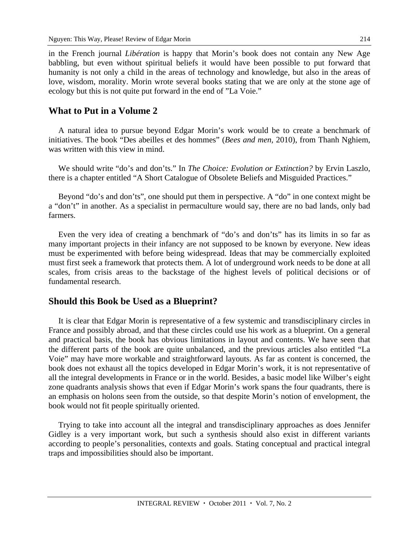in the French journal *Libération* is happy that Morin's book does not contain any New Age babbling, but even without spiritual beliefs it would have been possible to put forward that humanity is not only a child in the areas of technology and knowledge, but also in the areas of love, wisdom, morality. Morin wrote several books stating that we are only at the stone age of ecology but this is not quite put forward in the end of "La Voie."

#### **What to Put in a Volume 2**

A natural idea to pursue beyond Edgar Morin's work would be to create a benchmark of initiatives. The book "Des abeilles et des hommes" (*Bees and men,* 2010), from Thanh Nghiem, was written with this view in mind.

We should write "do's and don'ts." In *The Choice: Evolution or Extinction?* by Ervin Laszlo, there is a chapter entitled "A Short Catalogue of Obsolete Beliefs and Misguided Practices."

Beyond "do's and don'ts", one should put them in perspective. A "do" in one context might be a "don't" in another. As a specialist in permaculture would say, there are no bad lands, only bad farmers.

Even the very idea of creating a benchmark of "do's and don'ts" has its limits in so far as many important projects in their infancy are not supposed to be known by everyone. New ideas must be experimented with before being widespread. Ideas that may be commercially exploited must first seek a framework that protects them. A lot of underground work needs to be done at all scales, from crisis areas to the backstage of the highest levels of political decisions or of fundamental research.

#### **Should this Book be Used as a Blueprint?**

It is clear that Edgar Morin is representative of a few systemic and transdisciplinary circles in France and possibly abroad, and that these circles could use his work as a blueprint. On a general and practical basis, the book has obvious limitations in layout and contents. We have seen that the different parts of the book are quite unbalanced, and the previous articles also entitled "La Voie" may have more workable and straightforward layouts. As far as content is concerned, the book does not exhaust all the topics developed in Edgar Morin's work, it is not representative of all the integral developments in France or in the world. Besides, a basic model like Wilber's eight zone quadrants analysis shows that even if Edgar Morin's work spans the four quadrants, there is an emphasis on holons seen from the outside, so that despite Morin's notion of envelopment, the book would not fit people spiritually oriented.

Trying to take into account all the integral and transdisciplinary approaches as does Jennifer Gidley is a very important work, but such a synthesis should also exist in different variants according to people's personalities, contexts and goals. Stating conceptual and practical integral traps and impossibilities should also be important.